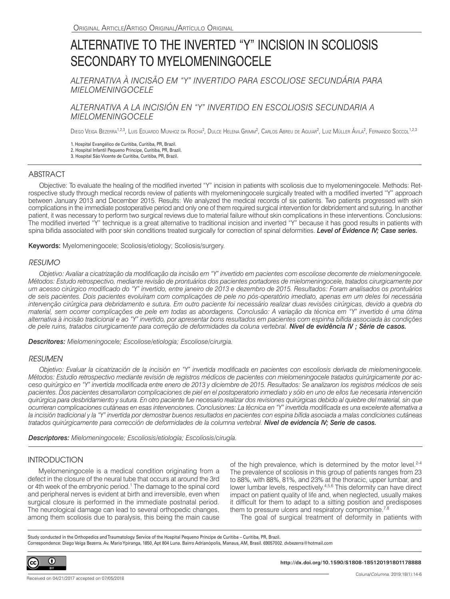# ALTERNATIVE TO THE INVERTED "Y" INCISION IN SCOLIOSIS SECONDARY TO MYELOMENINGOCELE

*ALTERNATIVA À INCISÃO EM "Y" INVERTIDO PARA ESCOLIOSE SECUNDÁRIA PARA MIELOMENINGOCELE*

# *ALTERNATIVA A LA INCISIÓN EN "Y" INVERTIDO EN ESCOLIOSIS SECUNDARIA A MIELOMENINGOCELE*

Diego Veiga Bezerra<sup>1,2,3</sup>, Luis Eduardo Munhoz da Rocha<sup>2</sup>, Dulce Helena Grimm<sup>2</sup>, Carlos Abreu de Aguiar<sup>2</sup>, Luiz Müller Avila<sup>2</sup>, Fernando Soccol<sup>1,2,3</sup>

1. Hospital Evangélico de Curitiba, Curitiba, PR, Brazil. 2. Hospital Infantil Pequeno Príncipe, Curitiba, PR, Brazil. 3. Hospital São Vicente de Curitiba, Curitiba, PR, Brazil.

# **ABSTRACT**

Objective: To evaluate the healing of the modified inverted "Y" incision in patients with scoliosis due to myelomeningocele. Methods: Retrospective study through medical records review of patients with myelomeningocele surgically treated with a modified inverted "Y" approach between January 2013 and December 2015. Results: We analyzed the medical records of six patients. Two patients progressed with skin complications in the immediate postoperative period and only one of them required surgical intervention for debridement and suturing. In another patient, it was necessary to perform two surgical reviews due to material failure without skin complications in these interventions. Conclusions: The modified inverted "Y" technique is a great alternative to traditional incision and inverted "Y" because it has good results in patients with spina bifida associated with poor skin conditions treated surgically for correction of spinal deformities. *Level of Evidence IV; Case series.*

Keywords: Myelomeningocele; Scoliosis/etiology; Scoliosis/surgery.

## *RESUMO*

*Objetivo: Avaliar a cicatrização da modificação da incisão em "Y" invertido em pacientes com escoliose decorrente de mielomeningocele. Métodos: Estudo retrospectivo, mediante revisão de prontuários dos pacientes portadores de mielomeningocele, tratados cirurgicamente por um acesso cirúrgico modificado do "Y" invertido, entre janeiro de 2013 e dezembro de 2015. Resultados: Foram analisados os prontuários de seis pacientes. Dois pacientes evoluíram com complicações de pele no pós-operatório imediato, apenas em um deles foi necessária intervenção cirúrgica para debridamento e sutura. Em outro paciente foi necessário realizar duas revisões cirúrgicas, devido a quebra do material, sem ocorrer complicações de pele em todas as abordagens. Conclusão: A variação da técnica em "Y" invertido é uma ótima alternativa à incisão tradicional e ao "Y" invertido, por apresentar bons resultados em pacientes com espinha bífida associada às condições de pele ruins, tratados cirurgicamente para correção de deformidades da coluna vertebral. Nível de evidência IV ; Série de casos.*

*Descritores: Mielomeningocele; Escoliose/etiologia; Escoliose/cirurgia.*

## *RESUMEN*

*Objetivo: Evaluar la cicatrización de la incisión en "Y" invertida modificada en pacientes con escoliosis derivada de mielomeningocele. Métodos: Estudio retrospectivo mediante revisión de registros médicos de pacientes con mielomeningocele tratados quirúrgicamente por acceso quirúrgico en "Y" invertida modificada entre enero de 2013 y diciembre de 2015. Resultados: Se analizaron los registros médicos de seis pacientes. Dos pacientes desarrollaron complicaciones de piel en el postoperatorio inmediato y sólo en uno de ellos fue necesaria intervención quirúrgica para desbridamiento y sutura. En otro paciente fue necesario realizar dos revisiones quirúrgicas debido al quiebre del material, sin que ocurrieran complicaciones cutáneas en esas intervenciones. Conclusiones: La técnica en "Y" invertida modificada es una excelente alternativa a*  la incisión tradicional y la "Y" invertida por demostrar buenos resultados en pacientes con espina bífida asociada a malas condiciones cutáneas *tratados quirúrgicamente para corrección de deformidades de la columna vertebral. Nivel de evidencia IV; Serie de casos.*

*Descriptores: Mielomeningocele; Escoliosis/etiología; Escoliosis/cirugía.*

## **INTRODUCTION**

Myelomeningocele is a medical condition originating from a defect in the closure of the neural tube that occurs at around the 3rd or 4th week of the embryonic period.<sup>1</sup> The damage to the spinal cord and peripheral nerves is evident at birth and irreversible, even when surgical closure is performed in the immediate postnatal period. The neurological damage can lead to several orthopedic changes, among them scoliosis due to paralysis, this being the main cause

of the high prevalence, which is determined by the motor level.<sup>2-4</sup> The prevalence of scoliosis in this group of patients ranges from 23 to 88%, with 88%, 81%, and 23% at the thoracic, upper lumbar, and lower lumbar levels, respectively.<sup>4,5,6</sup> This deformity can have direct impact on patient quality of life and, when neglected, usually makes it difficult for them to adapt to a sitting position and predisposes them to pressure ulcers and respiratory compromise.<sup>7,8</sup>

The goal of surgical treatment of deformity in patients with

Study conducted in the Orthopedics and Traumatology Service of the Hospital Pequeno Príncipe de Curitiba – Curitiba, PR, Brazil. Correspondence: Diego Veiga Bezerra. Av. Mario Ypiranga, 1850, Apt 804 Luna. Bairro Adrianópolis, Manaus, AM, Brasil. 69057002. dvbezerra@hotmail.com



**http://dx.doi.org/10.1590/S1808-185120191801178888**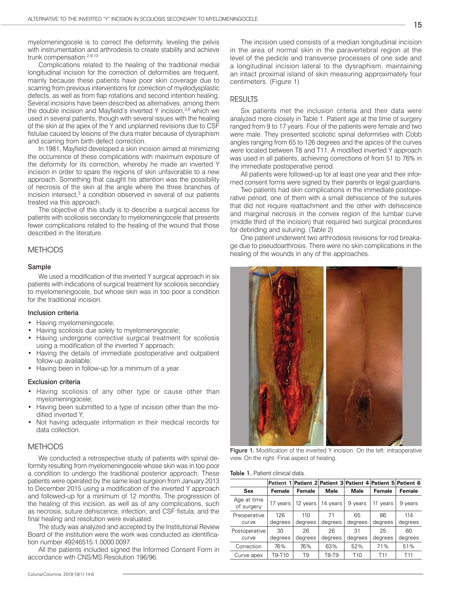myelomeningocele is to correct the deformity, leveling the pelvis with instrumentation and arthrodesis to create stability and achieve trunk compensation.2,9,10

Complications related to the healing of the traditional medial longitudinal incision for the correction of deformities are frequent, mainly because these patients have poor skin coverage due to scarring from previous interventions for correction of myelodysplastic defects, as well as from flap rotations and second intention healing. Several incisions have been described as alternatives, among them the double incision and Mayfield's inverted Y incision,  $3,8$  which we used in several patients, though with several issues with the healing of the skin at the apex of the Y and unplanned revisions due to CSF fistulae caused by lesions of the dura mater because of dysraphism and scarring from birth defect correction.

In 1981, Mayfield developed a skin incision aimed at minimizing the occurrence of these complications with maximum exposure of the deformity for its correction, whereby he made an inverted Y incision in order to spare the regions of skin unfavorable to a new approach. Something that caught his attention was the possibility of necrosis of the skin at the angle where the three branches of incision intersect,<sup>3</sup> a condition observed in several of our patients treated via this approach.

The objective of this study is to describe a surgical access for patients with scoliosis secondary to myelomeningocele that presents fewer complications related to the healing of the wound that those described in the literature.

## **METHODS**

#### Sample

We used a modification of the inverted Y surgical approach in six patients with indications of surgical treatment for scoliosis secondary to myelomeningocele, but whose skin was in too poor a condition for the traditional incision.

#### Inclusion criteria

- Having myelomeningocele;
- Having scoliosis due solely to myelomeningocele;
- Having undergone corrective surgical treatment for scoliosis using a modification of the inverted Y approach;
- Having the details of immediate postoperative and outpatient follow-up available;
- Having been in follow-up for a minimum of a year.

#### Exclusion criteria

- Having scoliosis of any other type or cause other than myelomeningocele;
- Having been submitted to a type of incision other than the modified inverted Y;
- Not having adequate information in their medical records for data collection.

## **METHODS**

We conducted a retrospective study of patients with spinal deformity resulting from myelomeningocele whose skin was in too poor a condition to undergo the traditional posterior approach. These patients were operated by the same lead surgeon from January 2013 to December 2015 using a modification of the inverted Y approach and followed-up for a minimum of 12 months. The progression of the healing of this incision, as well as of any complications, such as necrosis, suture dehiscence, infection, and CSF fistula, and the final healing and resolution were evaluated.

The study was analyzed and accepted by the Institutional Review Board of the institution were the work was conducted as identification number 49246515.1.0000.0097.

All the patients included signed the Informed Consent Form in accordance with CNS/MS Resolution 196/96.

The incision used consists of a median longitudinal incision in the area of normal skin in the paravertebral region at the level of the pedicle and transverse processes of one side and a longitudinal incision lateral to the dysraphism, maintaining an intact proximal island of skin measuring approximately four centimeters. (Figure 1)

#### RESULTS

Six patients met the inclusion criteria and their data were analyzed more closely in Table 1. Patient age at the time of surgery ranged from 9 to 17 years. Four of the patients were female and two were male. They presented scoliotic spinal deformities with Cobb angles ranging from 65 to 126 degrees and the apices of the curves were located between T8 and T11. A modified inverted Y approach was used in all patients, achieving corrections of from 51 to 76% in the immediate postoperative period.

All patients were followed-up for at least one year and their informed consent forms were signed by their parents or legal guardians.

Two patients had skin complications in the immediate postoperative period, one of them with a small dehiscence of the sutures that did not require reattachment and the other with dehiscence and marginal necrosis in the convex region of the lumbar curve (middle third of the incision) that required two surgical procedures for debriding and suturing. (Table 2)

One patient underwent two arthrodesis revisions for rod breakage due to pseudoarthrosis. There were no skin complications in the healing of the wounds in any of the approaches.



Figure 1. Modification of the inverted Y incision. On the left: intraoperative view. On the right: Final aspect of healing.

Table 1. Patient clinical data.

|                           |          | Patient 1 Patient 2 Patient 3 Patient 4 Patient 5 Patient 6 |          |                 |                 |                 |
|---------------------------|----------|-------------------------------------------------------------|----------|-----------------|-----------------|-----------------|
| Sex                       | Female   | Female                                                      | Male     | Male            | Female          | Female          |
| Age at time<br>of surgery | 17 years | 12 years                                                    | 14 years | 9 years         | 11<br>years     | 9 years         |
| Preoperative              | 126      | 110                                                         | 71       | 65              | 86              | 114             |
| curve                     | degrees  | degrees                                                     | degrees  | degrees         | degrees         | degrees         |
| Postoperative             | 30       | 26                                                          | 26       | 31              | 25              | 60              |
| curve                     | degrees  | degrees                                                     | degrees  | degrees         | degrees         | degrees         |
| Correction                | 76%      | 76%                                                         | 63%      | 52%             | 71%             | 51%             |
| Curve apex                | T9-T10   | T9                                                          | T8-T9    | T <sub>10</sub> | T <sub>11</sub> | T <sub>11</sub> |